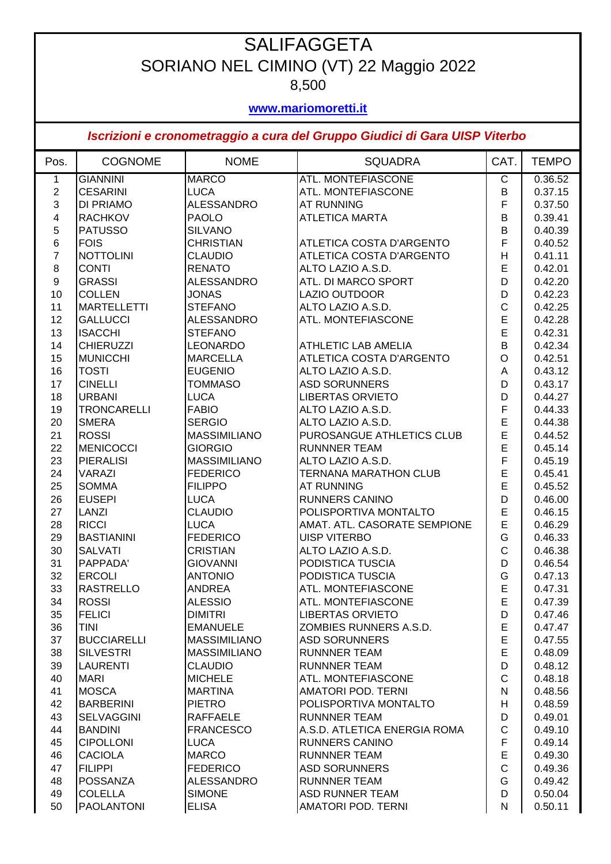## **SALIFAGGETA** SORIANO NEL CIMINO (VT) 22 Maggio 2022 8,500

## **www.mariomoretti.it**

## *Iscrizioni e cronometraggio a cura del Gruppo Giudici di Gara UISP Viterbo*

| Pos.             | <b>COGNOME</b>     | <b>NOME</b>         | <b>SQUADRA</b>               | CAT.           | <b>TEMPO</b> |
|------------------|--------------------|---------------------|------------------------------|----------------|--------------|
| 1                | <b>GIANNINI</b>    | <b>MARCO</b>        | <b>ATL. MONTEFIASCONE</b>    | $\overline{C}$ | 0.36.52      |
| $\boldsymbol{2}$ | <b>CESARINI</b>    | <b>LUCA</b>         | ATL. MONTEFIASCONE           | B              | 0.37.15      |
| 3                | DI PRIAMO          | <b>ALESSANDRO</b>   | <b>AT RUNNING</b>            | F              | 0.37.50      |
| 4                | <b>RACHKOV</b>     | <b>PAOLO</b>        | <b>ATLETICA MARTA</b>        | B              | 0.39.41      |
| 5                | <b>PATUSSO</b>     | <b>SILVANO</b>      |                              | B              | 0.40.39      |
| 6                | <b>FOIS</b>        | <b>CHRISTIAN</b>    | ATLETICA COSTA D'ARGENTO     | F              | 0.40.52      |
| $\overline{7}$   | <b>NOTTOLINI</b>   | <b>CLAUDIO</b>      | ATLETICA COSTA D'ARGENTO     | H              | 0.41.11      |
| $\bf 8$          | <b>CONTI</b>       | <b>RENATO</b>       | ALTO LAZIO A.S.D.            | E              | 0.42.01      |
| $\boldsymbol{9}$ | <b>GRASSI</b>      | <b>ALESSANDRO</b>   | ATL. DI MARCO SPORT          | D              | 0.42.20      |
| 10               | <b>COLLEN</b>      | <b>JONAS</b>        | LAZIO OUTDOOR                | D              | 0.42.23      |
| 11               | <b>MARTELLETTI</b> | <b>STEFANO</b>      | ALTO LAZIO A.S.D.            | $\mathsf{C}$   | 0.42.25      |
| 12               | <b>GALLUCCI</b>    | <b>ALESSANDRO</b>   | ATL. MONTEFIASCONE           | E              | 0.42.28      |
| 13               | <b>ISACCHI</b>     | <b>STEFANO</b>      |                              | E              | 0.42.31      |
| 14               | <b>CHIERUZZI</b>   | <b>LEONARDO</b>     | <b>ATHLETIC LAB AMELIA</b>   | B              | 0.42.34      |
| 15               | <b>MUNICCHI</b>    | <b>MARCELLA</b>     | ATLETICA COSTA D'ARGENTO     | $\circ$        | 0.42.51      |
| 16               | <b>TOSTI</b>       | <b>EUGENIO</b>      | ALTO LAZIO A.S.D.            | A              | 0.43.12      |
| 17               | <b>CINELLI</b>     | <b>TOMMASO</b>      | <b>ASD SORUNNERS</b>         | D              | 0.43.17      |
| 18               | <b>URBANI</b>      | <b>LUCA</b>         | <b>LIBERTAS ORVIETO</b>      | D              | 0.44.27      |
| 19               | <b>TRONCARELLI</b> | <b>FABIO</b>        | ALTO LAZIO A.S.D.            | F              | 0.44.33      |
| 20               | <b>SMERA</b>       | <b>SERGIO</b>       | ALTO LAZIO A.S.D.            | E              | 0.44.38      |
| 21               | <b>ROSSI</b>       | <b>MASSIMILIANO</b> | PUROSANGUE ATHLETICS CLUB    | E              | 0.44.52      |
| 22               | <b>MENICOCCI</b>   | <b>GIORGIO</b>      | <b>RUNNNER TEAM</b>          | E              | 0.45.14      |
| 23               | <b>PIERALISI</b>   | <b>MASSIMILIANO</b> | ALTO LAZIO A.S.D.            | F              | 0.45.19      |
| 24               | <b>VARAZI</b>      | <b>FEDERICO</b>     | <b>TERNANA MARATHON CLUB</b> | E              | 0.45.41      |
| 25               | <b>SOMMA</b>       | <b>FILIPPO</b>      | <b>AT RUNNING</b>            | E              | 0.45.52      |
| 26               | <b>EUSEPI</b>      | <b>LUCA</b>         | <b>RUNNERS CANINO</b>        | D              | 0.46.00      |
| 27               | <b>LANZI</b>       | <b>CLAUDIO</b>      | POLISPORTIVA MONTALTO        | E              | 0.46.15      |
| 28               | <b>RICCI</b>       | <b>LUCA</b>         | AMAT. ATL. CASORATE SEMPIONE | E              | 0.46.29      |
| 29               | <b>BASTIANINI</b>  | <b>FEDERICO</b>     | <b>UISP VITERBO</b>          | G              | 0.46.33      |
| 30               | <b>SALVATI</b>     | <b>CRISTIAN</b>     | ALTO LAZIO A.S.D.            | $\mathsf{C}$   | 0.46.38      |
| 31               | PAPPADA'           | <b>GIOVANNI</b>     | PODISTICA TUSCIA             | D              | 0.46.54      |
| 32               | <b>ERCOLI</b>      | <b>ANTONIO</b>      | PODISTICA TUSCIA             | G              | 0.47.13      |
| 33               | <b>RASTRELLO</b>   | <b>ANDREA</b>       | ATL. MONTEFIASCONE           | E              | 0.47.31      |
| 34               | <b>ROSSI</b>       | <b>ALESSIO</b>      | ATL. MONTEFIASCONE           | E              | 0.47.39      |
| 35               | <b>FELICI</b>      | <b>DIMITRI</b>      | <b>LIBERTAS ORVIETO</b>      | D              | 0.47.46      |
| 36               | <b>TINI</b>        | <b>EMANUELE</b>     | ZOMBIES RUNNERS A.S.D.       | E              | 0.47.47      |
| 37               | <b>BUCCIARELLI</b> | <b>MASSIMILIANO</b> | <b>ASD SORUNNERS</b>         | E              | 0.47.55      |
| 38               | <b>SILVESTRI</b>   | <b>MASSIMILIANO</b> | <b>RUNNNER TEAM</b>          | E              | 0.48.09      |
| 39               | LAURENTI           | <b>CLAUDIO</b>      | <b>RUNNNER TEAM</b>          | D              | 0.48.12      |
| 40               | <b>MARI</b>        | <b>MICHELE</b>      | ATL. MONTEFIASCONE           | $\mathsf{C}$   | 0.48.18      |
| 41               | <b>MOSCA</b>       | <b>MARTINA</b>      | AMATORI POD. TERNI           | N              | 0.48.56      |
| 42               | <b>BARBERINI</b>   | <b>PIETRO</b>       | POLISPORTIVA MONTALTO        | Н              | 0.48.59      |
| 43               | <b>SELVAGGINI</b>  | <b>RAFFAELE</b>     | <b>RUNNNER TEAM</b>          | D              | 0.49.01      |
| 44               | <b>BANDINI</b>     | <b>FRANCESCO</b>    | A.S.D. ATLETICA ENERGIA ROMA | $\mathsf C$    | 0.49.10      |
| 45               | <b>CIPOLLONI</b>   | <b>LUCA</b>         | <b>RUNNERS CANINO</b>        | F              | 0.49.14      |
| 46               | <b>CACIOLA</b>     | <b>MARCO</b>        | <b>RUNNNER TEAM</b>          | E              | 0.49.30      |
| 47               | <b>FILIPPI</b>     | <b>FEDERICO</b>     | <b>ASD SORUNNERS</b>         | $\mathsf{C}$   | 0.49.36      |
| 48               | POSSANZA           | <b>ALESSANDRO</b>   | <b>RUNNNER TEAM</b>          | G              | 0.49.42      |
| 49               | <b>COLELLA</b>     | <b>SIMONE</b>       | <b>ASD RUNNER TEAM</b>       | D              | 0.50.04      |
| 50               | <b>PAOLANTONI</b>  | <b>ELISA</b>        | AMATORI POD. TERNI           | N              | 0.50.11      |